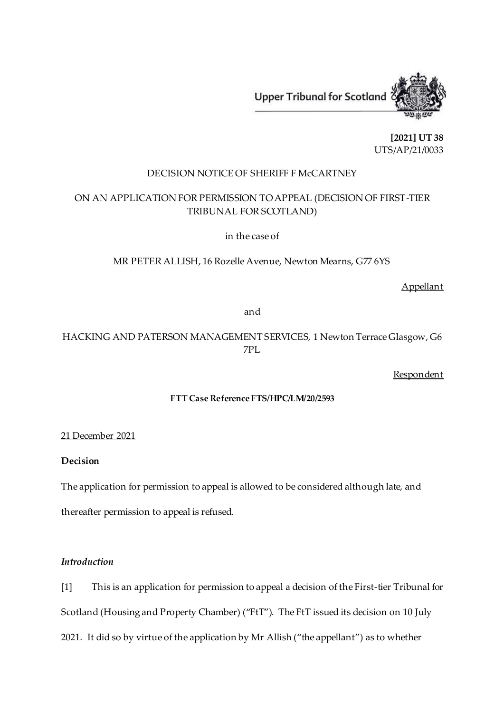

**[2021] UT 38** UTS/AP/21/0033

## DECISION NOTICE OF SHERIFF F McCARTNEY

# ON AN APPLICATION FOR PERMISSION TO APPEAL (DECISION OF FIRST-TIER TRIBUNAL FOR SCOTLAND)

in the case of

MR PETER ALLISH, 16 Rozelle Avenue, Newton Mearns, G77 6YS

Appellant

and

HACKING AND PATERSON MANAGEMENT SERVICES, 1 Newton Terrace Glasgow, G6 7PL

**Respondent** 

### **FTT Case Reference FTS/HPC/LM/20/2593**

#### 21 December 2021

# **Decision**

The application for permission to appeal is allowed to be considered although late, and thereafter permission to appeal is refused.

### *Introduction*

[1] This is an application for permission to appeal a decision of the First-tier Tribunal for Scotland (Housing and Property Chamber) ("FtT"). The FtT issued its decision on 10 July 2021. It did so by virtue of the application by Mr Allish ("the appellant") as to whether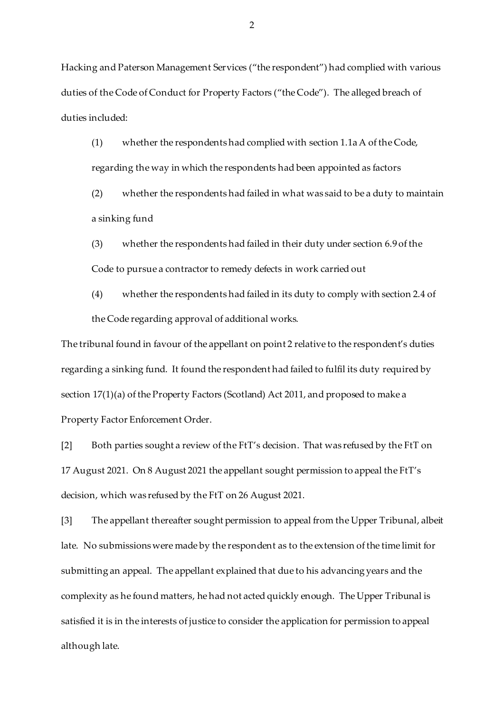Hacking and Paterson Management Services ("the respondent") had complied with various duties of the Code of Conduct for Property Factors ("the Code"). The alleged breach of duties included:

- (1) whether the respondents had complied with section 1.1aA of the Code, regarding the way in which the respondents had been appointed as factors
- (2) whether the respondents had failed in what was said to be a duty to maintain a sinking fund
- (3) whether the respondents had failed in their duty under section 6.9 of the Code to pursue a contractor to remedy defects in work carried out
- (4) whether the respondents had failed in its duty to comply with section 2.4 of the Code regarding approval of additional works.

The tribunal found in favour of the appellant on point 2 relative to the respondent's duties regarding a sinking fund. It found the respondent had failed to fulfil its duty required by section 17(1)(a) of the Property Factors (Scotland) Act 2011, and proposed to make a Property Factor Enforcement Order.

[2] Both parties sought a review of the FtT's decision. That was refused by the FtT on 17 August 2021. On 8 August 2021 the appellant sought permission to appeal the FtT's decision, which was refused by the FtT on 26 August 2021.

[3] The appellant thereafter sought permission to appeal from the Upper Tribunal, albeit late. No submissions were made by the respondent as to the extension of the time limit for submitting an appeal. The appellant explained that due to his advancing years and the complexity as he found matters, he had not acted quickly enough. The Upper Tribunal is satisfied it is in the interests of justice to consider the application for permission to appeal although late.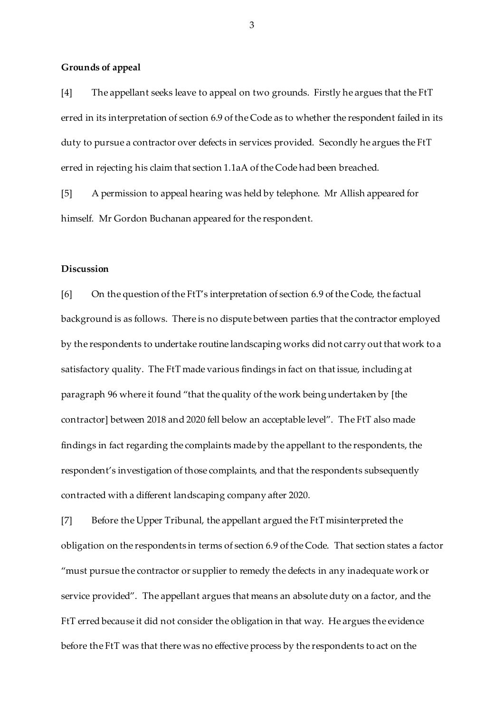#### **Grounds of appeal**

[4] The appellant seeks leave to appeal on two grounds. Firstly he argues that the FtT erred in its interpretation of section 6.9 of the Code as to whether the respondent failed in its duty to pursue a contractor over defects in services provided. Secondly he argues the FtT erred in rejecting his claim that section 1.1aA of the Code had been breached.

[5] A permission to appeal hearing was held by telephone. Mr Allish appeared for himself. Mr Gordon Buchanan appeared for the respondent.

### **Discussion**

[6] On the question of the FtT's interpretation of section 6.9 of the Code, the factual background is as follows. There is no dispute between parties that the contractor employed by the respondents to undertake routine landscaping works did not carry out that work to a satisfactory quality. The FtT made various findings in fact on that issue, including at paragraph 96 where it found "that the quality of the work being undertaken by [the contractor] between 2018 and 2020 fell below an acceptable level". The FtT also made findings in fact regarding the complaints made by the appellant to the respondents, the respondent's investigation of those complaints, and that the respondents subsequently contracted with a different landscaping company after 2020.

[7] Before the Upper Tribunal, the appellant argued the FtT misinterpreted the obligation on the respondents in terms of section 6.9 of the Code. That section states a factor "must pursue the contractor or supplier to remedy the defects in any inadequate work or service provided". The appellant argues that means an absolute duty on a factor, and the FtT erred because it did not consider the obligation in that way. He argues the evidence before the FtT was that there was no effective process by the respondents to act on the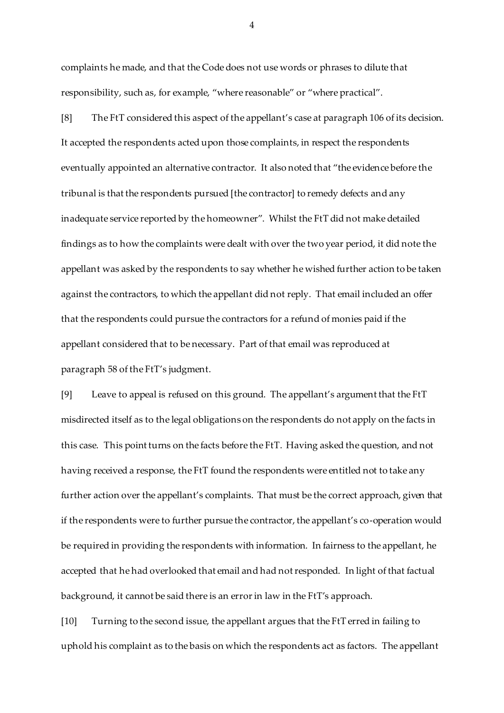complaints he made, and that the Code does not use words or phrases to dilute that responsibility, such as, for example, "where reasonable" or "where practical".

[8] The FtT considered this aspect of the appellant's case at paragraph 106 of its decision. It accepted the respondents acted upon those complaints, in respect the respondents eventually appointed an alternative contractor. It also noted that "the evidence before the tribunal is that the respondents pursued [the contractor] to remedy defects and any inadequate service reported by the homeowner". Whilst the FtT did not make detailed findings as to how the complaints were dealt with over the two year period, it did note the appellant was asked by the respondents to say whether he wished further action to be taken against the contractors, to which the appellant did not reply. That email included an offer that the respondents could pursue the contractors for a refund of monies paid if the appellant considered that to be necessary. Part of that email was reproduced at paragraph 58 of the FtT's judgment.

[9] Leave to appeal is refused on this ground. The appellant's argument that the FtT misdirected itself as to the legal obligations on the respondents do not apply on the facts in this case. This point turns on the facts before the FtT. Having asked the question, and not having received a response, the FtT found the respondents were entitled not to take any further action over the appellant's complaints. That must be the correct approach, given that if the respondents were to further pursue the contractor, the appellant's co-operation would be required in providing the respondents with information. In fairness to the appellant, he accepted that he had overlooked that email and had not responded. In light of that factual background, it cannot be said there is an error in law in the FtT's approach.

[10] Turning to the second issue, the appellant argues that the FtT erred in failing to uphold his complaint as to the basis on which the respondents act as factors. The appellant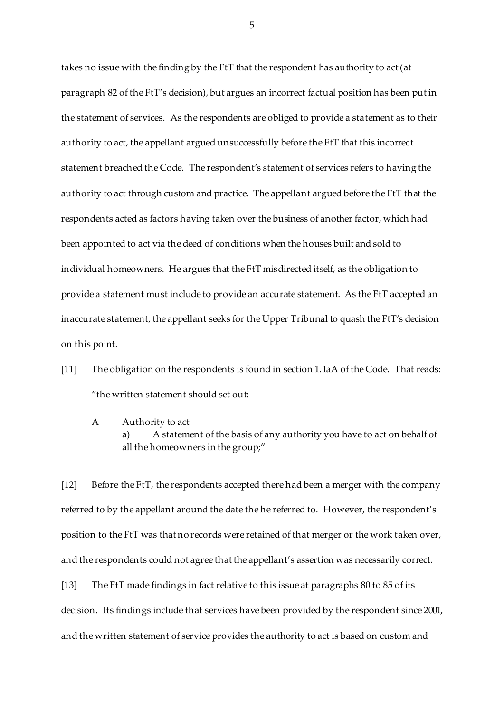takes no issue with the finding by the FtT that the respondent has authority to act (at paragraph 82 of the FtT's decision), but argues an incorrect factual position has been put in the statement of services. As the respondents are obliged to provide a statement as to their authority to act, the appellant argued unsuccessfully before the FtT that this incorrect statement breached the Code. The respondent's statement of services refers to having the authority to act through custom and practice. The appellant argued before the FtT that the respondents acted as factors having taken over the business of another factor, which had been appointed to act via the deed of conditions when the houses built and sold to individual homeowners. He argues that the FtT misdirected itself, as the obligation to provide a statement must include to provide an accurate statement. As the FtT accepted an inaccurate statement, the appellant seeks for the Upper Tribunal to quash the FtT's decision on this point.

- [11] The obligation on the respondents is found in section 1.1aA of the Code. That reads: "the written statement should set out:
	- A Authority to act a) A statement of the basis of any authority you have to act on behalf of all the homeowners in the group;"

[12] Before the FtT, the respondents accepted there had been a merger with the company referred to by the appellant around the date the he referred to. However, the respondent's position to the FtT was that no records were retained of that merger or the work taken over, and the respondents could not agree that the appellant's assertion was necessarily correct. [13] The FtT made findings in fact relative to this issue at paragraphs 80 to 85 of its decision. Its findings include that services have been provided by the respondent since 2001, and the written statement of service provides the authority to act is based on custom and